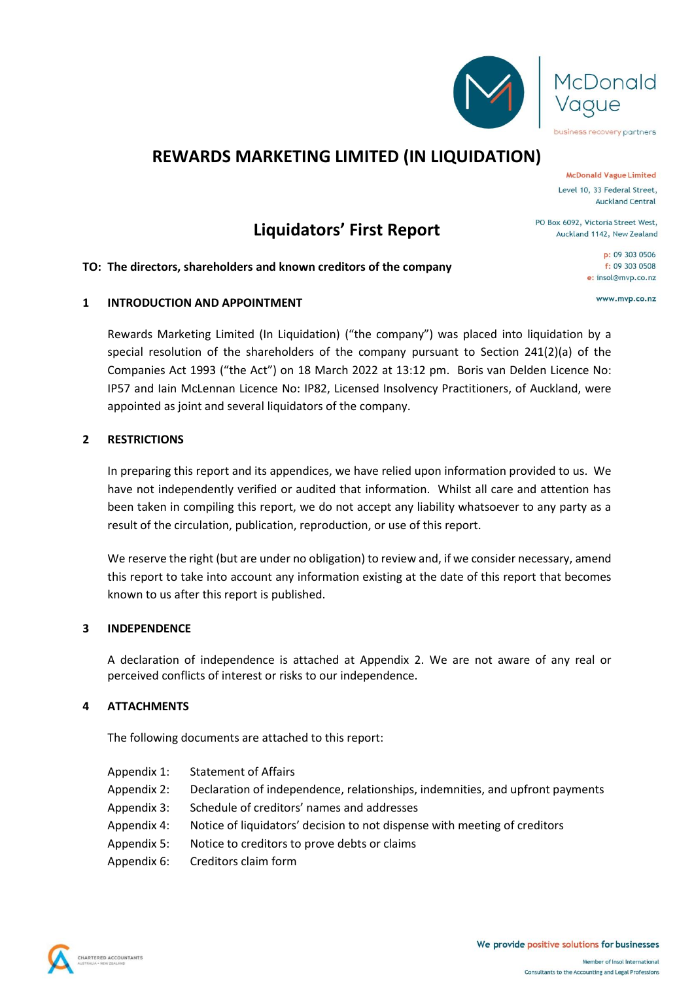

# **REWARDS MARKETING LIMITED (IN LIQUIDATION)**

**McDonald Vague Limited** Level 10, 33 Federal Street, **Auckland Central** 

business recovery partners

PO Box 6092, Victoria Street West. Auckland 1142, New Zealand

> p: 09 303 0506  $f: 09, 303, 0508$ e: insol@mvp.co.nz

> > www.mvp.co.nz

# **Liquidators' First Report**

### **TO: The directors, shareholders and known creditors of the company**

## **1 INTRODUCTION AND APPOINTMENT**

Rewards Marketing Limited (In Liquidation) ("the company") was placed into liquidation by a special resolution of the shareholders of the company pursuant to Section 241(2)(a) of the Companies Act 1993 ("the Act") on 18 March 2022 at 13:12 pm. Boris van Delden Licence No: IP57 and Iain McLennan Licence No: IP82, Licensed Insolvency Practitioners, of Auckland, were appointed as joint and several liquidators of the company.

### **2 RESTRICTIONS**

In preparing this report and its appendices, we have relied upon information provided to us. We have not independently verified or audited that information. Whilst all care and attention has been taken in compiling this report, we do not accept any liability whatsoever to any party as a result of the circulation, publication, reproduction, or use of this report.

We reserve the right (but are under no obligation) to review and, if we consider necessary, amend this report to take into account any information existing at the date of this report that becomes known to us after this report is published.

#### **3 INDEPENDENCE**

A declaration of independence is attached at Appendix 2. We are not aware of any real or perceived conflicts of interest or risks to our independence.

## **4 ATTACHMENTS**

The following documents are attached to this report:

- Appendix 1: Statement of Affairs
- Appendix 2: Declaration of independence, relationships, indemnities, and upfront payments
- Appendix 3: Schedule of creditors' names and addresses
- Appendix 4: Notice of liquidators' decision to not dispense with meeting of creditors
- Appendix 5: Notice to creditors to prove debts or claims
- Appendix 6: Creditors claim form

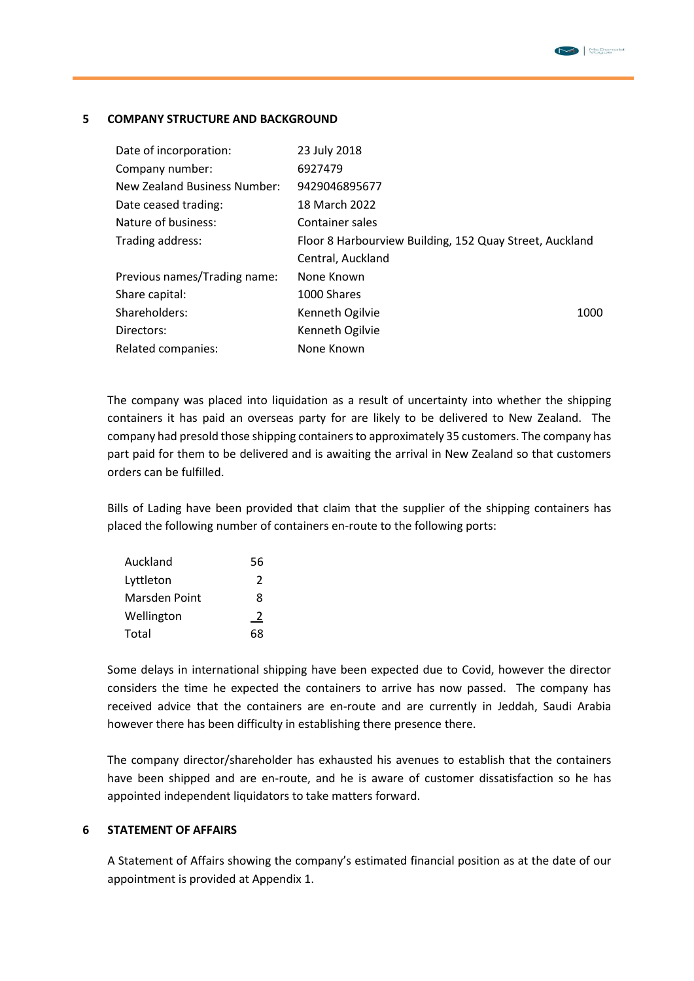#### **5 COMPANY STRUCTURE AND BACKGROUND**

| Date of incorporation:       | 23 July 2018                                            |
|------------------------------|---------------------------------------------------------|
| Company number:              | 6927479                                                 |
| New Zealand Business Number: | 9429046895677                                           |
| Date ceased trading:         | 18 March 2022                                           |
| Nature of business:          | Container sales                                         |
| Trading address:             | Floor 8 Harbourview Building, 152 Quay Street, Auckland |
|                              | Central, Auckland                                       |
| Previous names/Trading name: | None Known                                              |
| Share capital:               | 1000 Shares                                             |
| Shareholders:                | Kenneth Ogilvie<br>1000                                 |
| Directors:                   | Kenneth Ogilvie                                         |
| Related companies:           | None Known                                              |

The company was placed into liquidation as a result of uncertainty into whether the shipping containers it has paid an overseas party for are likely to be delivered to New Zealand. The company had presold those shipping containers to approximately 35 customers. The company has part paid for them to be delivered and is awaiting the arrival in New Zealand so that customers orders can be fulfilled.

Bills of Lading have been provided that claim that the supplier of the shipping containers has placed the following number of containers en-route to the following ports:

| Auckland      | 56 |
|---------------|----|
| Lyttleton     | 2  |
| Marsden Point | 8  |
| Wellington    | 2  |
| Total         | 68 |

Some delays in international shipping have been expected due to Covid, however the director considers the time he expected the containers to arrive has now passed. The company has received advice that the containers are en-route and are currently in Jeddah, Saudi Arabia however there has been difficulty in establishing there presence there.

The company director/shareholder has exhausted his avenues to establish that the containers have been shipped and are en-route, and he is aware of customer dissatisfaction so he has appointed independent liquidators to take matters forward.

#### **6 STATEMENT OF AFFAIRS**

A Statement of Affairs showing the company's estimated financial position as at the date of our appointment is provided at Appendix 1.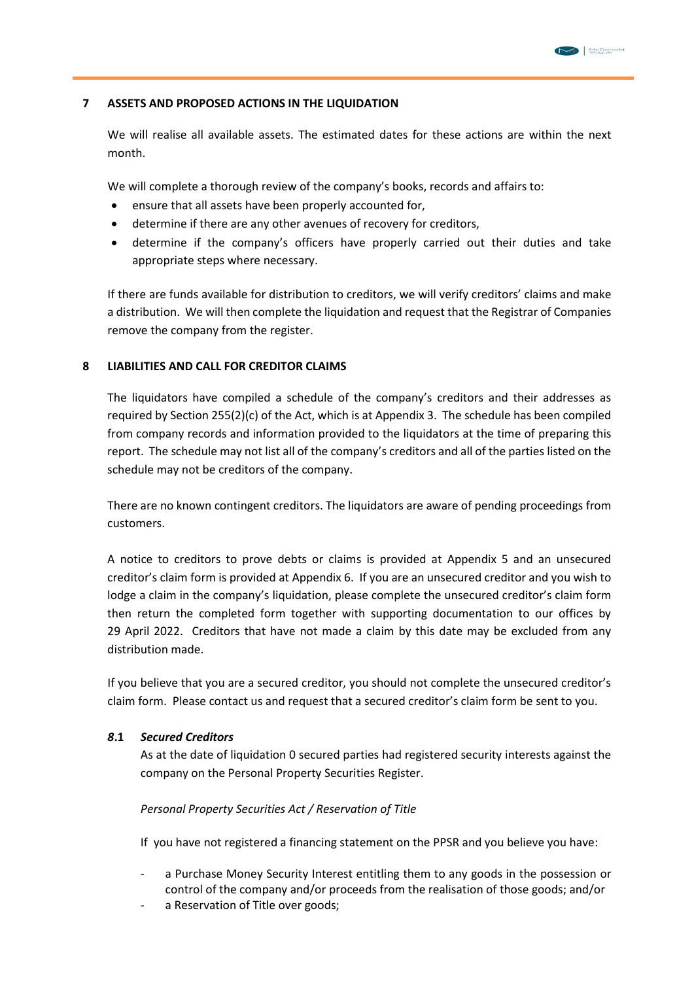#### **7 ASSETS AND PROPOSED ACTIONS IN THE LIQUIDATION**

We will realise all available assets. The estimated dates for these actions are within the next month.

We will complete a thorough review of the company's books, records and affairs to:

- ensure that all assets have been properly accounted for,
- determine if there are any other avenues of recovery for creditors,
- determine if the company's officers have properly carried out their duties and take appropriate steps where necessary.

If there are funds available for distribution to creditors, we will verify creditors' claims and make a distribution. We will then complete the liquidation and request that the Registrar of Companies remove the company from the register.

#### **8 LIABILITIES AND CALL FOR CREDITOR CLAIMS**

The liquidators have compiled a schedule of the company's creditors and their addresses as required by Section 255(2)(c) of the Act, which is at Appendix 3. The schedule has been compiled from company records and information provided to the liquidators at the time of preparing this report. The schedule may not list all of the company's creditors and all of the parties listed on the schedule may not be creditors of the company.

There are no known contingent creditors. The liquidators are aware of pending proceedings from customers.

A notice to creditors to prove debts or claims is provided at Appendix 5 and an unsecured creditor's claim form is provided at Appendix 6. If you are an unsecured creditor and you wish to lodge a claim in the company's liquidation, please complete the unsecured creditor's claim form then return the completed form together with supporting documentation to our offices by 29 April 2022. Creditors that have not made a claim by this date may be excluded from any distribution made.

If you believe that you are a secured creditor, you should not complete the unsecured creditor's claim form. Please contact us and request that a secured creditor's claim form be sent to you.

#### *8***.1** *Secured Creditors*

As at the date of liquidation 0 secured parties had registered security interests against the company on the Personal Property Securities Register.

#### *Personal Property Securities Act / Reservation of Title*

If you have not registered a financing statement on the PPSR and you believe you have:

- a Purchase Money Security Interest entitling them to any goods in the possession or control of the company and/or proceeds from the realisation of those goods; and/or
- a Reservation of Title over goods;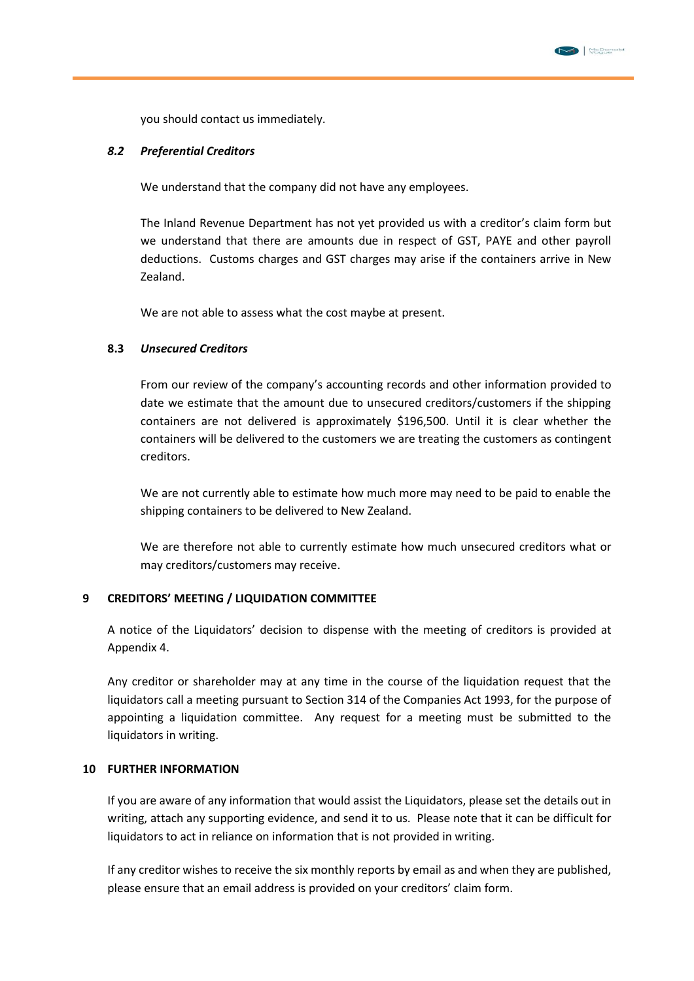

you should contact us immediately.

#### *8.2 Preferential Creditors*

We understand that the company did not have any employees.

The Inland Revenue Department has not yet provided us with a creditor's claim form but we understand that there are amounts due in respect of GST, PAYE and other payroll deductions. Customs charges and GST charges may arise if the containers arrive in New Zealand.

We are not able to assess what the cost maybe at present.

#### **8.3** *Unsecured Creditors*

From our review of the company's accounting records and other information provided to date we estimate that the amount due to unsecured creditors/customers if the shipping containers are not delivered is approximately \$196,500. Until it is clear whether the containers will be delivered to the customers we are treating the customers as contingent creditors.

We are not currently able to estimate how much more may need to be paid to enable the shipping containers to be delivered to New Zealand.

We are therefore not able to currently estimate how much unsecured creditors what or may creditors/customers may receive.

#### **9 CREDITORS' MEETING / LIQUIDATION COMMITTEE**

A notice of the Liquidators' decision to dispense with the meeting of creditors is provided at Appendix 4.

Any creditor or shareholder may at any time in the course of the liquidation request that the liquidators call a meeting pursuant to Section 314 of the Companies Act 1993, for the purpose of appointing a liquidation committee. Any request for a meeting must be submitted to the liquidators in writing.

#### **10 FURTHER INFORMATION**

If you are aware of any information that would assist the Liquidators, please set the details out in writing, attach any supporting evidence, and send it to us. Please note that it can be difficult for liquidators to act in reliance on information that is not provided in writing.

If any creditor wishes to receive the six monthly reports by email as and when they are published, please ensure that an email address is provided on your creditors' claim form.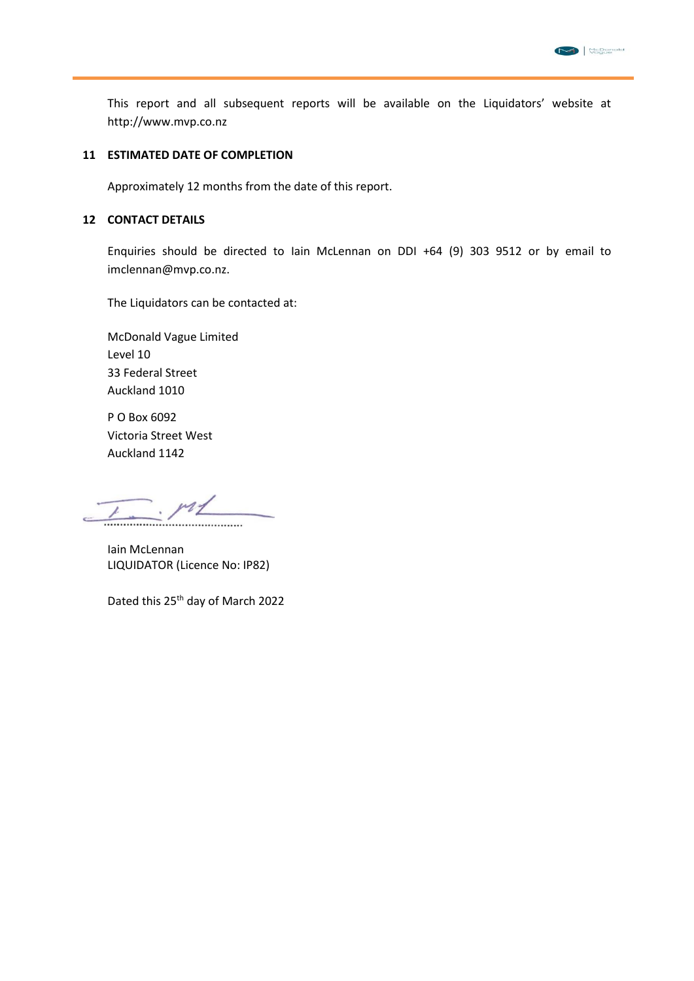

This report and all subsequent reports will be available on the Liquidators' website at http://www.mvp.co.nz

#### **11 ESTIMATED DATE OF COMPLETION**

Approximately 12 months from the date of this report.

#### **12 CONTACT DETAILS**

Enquiries should be directed to Iain McLennan on DDI +64 (9) 303 9512 or by email to imclennan@mvp.co.nz.

The Liquidators can be contacted at:

McDonald Vague Limited Level 10 33 Federal Street Auckland 1010

P O Box 6092 Victoria Street West Auckland 1142

 $-$  ml 

Iain McLennan LIQUIDATOR (Licence No: IP82)

Dated this 25<sup>th</sup> day of March 2022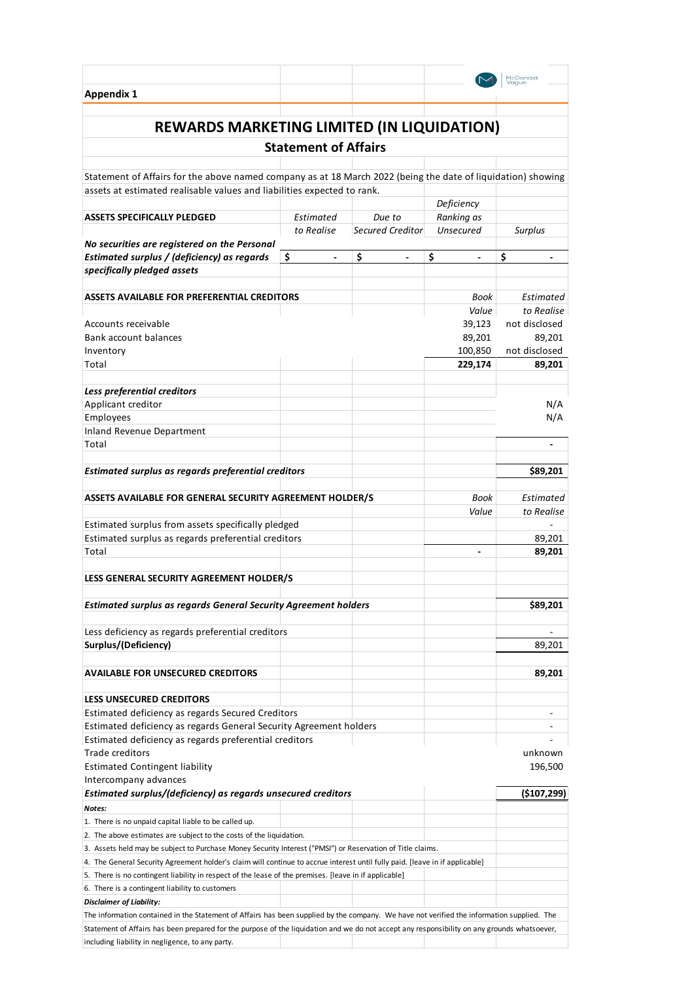|                                                                                                                                                                                                  |                                |                                |                                | McDonald         |
|--------------------------------------------------------------------------------------------------------------------------------------------------------------------------------------------------|--------------------------------|--------------------------------|--------------------------------|------------------|
| <b>Appendix 1</b>                                                                                                                                                                                |                                |                                |                                |                  |
| REWARDS MARKETING LIMITED (IN LIQUIDATION)                                                                                                                                                       |                                |                                |                                |                  |
|                                                                                                                                                                                                  | <b>Statement of Affairs</b>    |                                |                                |                  |
| Statement of Affairs for the above named company as at 18 March 2022 (being the date of liquidation) showing                                                                                     |                                |                                |                                |                  |
| assets at estimated realisable values and liabilities expected to rank.                                                                                                                          |                                |                                |                                |                  |
|                                                                                                                                                                                                  |                                |                                | Deficiency                     |                  |
| <b>ASSETS SPECIFICALLY PLEDGED</b>                                                                                                                                                               | Estimated                      | Due to                         | Ranking as                     |                  |
|                                                                                                                                                                                                  | to Realise                     | Secured Creditor               | Unsecured                      | Surplus          |
| No securities are registered on the Personal                                                                                                                                                     |                                |                                |                                |                  |
| Estimated surplus / (deficiency) as regards                                                                                                                                                      | \$<br>$\overline{\phantom{a}}$ | \$<br>$\overline{\phantom{a}}$ | \$<br>$\overline{\phantom{a}}$ | \$               |
| specifically pledged assets                                                                                                                                                                      |                                |                                |                                |                  |
| ASSETS AVAILABLE FOR PREFERENTIAL CREDITORS                                                                                                                                                      |                                |                                | Book                           | Estimated        |
|                                                                                                                                                                                                  |                                |                                | Value                          | to Realise       |
| Accounts receivable                                                                                                                                                                              |                                |                                | 39,123                         | not disclosed    |
| <b>Bank account balances</b>                                                                                                                                                                     |                                |                                | 89,201                         | 89.201           |
| Inventory                                                                                                                                                                                        |                                |                                | 100,850                        | not disclosed    |
| Total                                                                                                                                                                                            |                                |                                | 229,174                        | 89,201           |
| Less preferential creditors                                                                                                                                                                      |                                |                                |                                |                  |
| Applicant creditor                                                                                                                                                                               |                                |                                |                                | N/A              |
| Employees                                                                                                                                                                                        |                                |                                |                                | N/A              |
| <b>Inland Revenue Department</b>                                                                                                                                                                 |                                |                                |                                |                  |
| Total                                                                                                                                                                                            |                                |                                |                                |                  |
|                                                                                                                                                                                                  |                                |                                |                                |                  |
| Estimated surplus as regards preferential creditors                                                                                                                                              |                                |                                |                                | \$89,201         |
| ASSETS AVAILABLE FOR GENERAL SECURITY AGREEMENT HOLDER/S                                                                                                                                         |                                |                                | Book                           | Estimated        |
|                                                                                                                                                                                                  |                                |                                | Value                          | to Realise       |
| Estimated surplus from assets specifically pledged                                                                                                                                               |                                |                                |                                |                  |
| Estimated surplus as regards preferential creditors<br>Total                                                                                                                                     |                                |                                | $\blacksquare$                 | 89,201<br>89,201 |
|                                                                                                                                                                                                  |                                |                                |                                |                  |
| LESS GENERAL SECURITY AGREEMENT HOLDER/S                                                                                                                                                         |                                |                                |                                |                  |
|                                                                                                                                                                                                  |                                |                                |                                |                  |
| <b>Estimated surplus as regards General Security Agreement holders</b>                                                                                                                           |                                |                                |                                | \$89,201         |
| Less deficiency as regards preferential creditors                                                                                                                                                |                                |                                |                                |                  |
| Surplus/(Deficiency)                                                                                                                                                                             |                                |                                |                                | 89.201           |
|                                                                                                                                                                                                  |                                |                                |                                |                  |
| <b>AVAILABLE FOR UNSECURED CREDITORS</b>                                                                                                                                                         |                                |                                |                                | 89,201           |
|                                                                                                                                                                                                  |                                |                                |                                |                  |
| <b>LESS UNSECURED CREDITORS</b>                                                                                                                                                                  |                                |                                |                                |                  |
| Estimated deficiency as regards Secured Creditors<br>Estimated deficiency as regards General Security Agreement holders                                                                          |                                |                                |                                |                  |
| Estimated deficiency as regards preferential creditors                                                                                                                                           |                                |                                |                                |                  |
| <b>Trade creditors</b>                                                                                                                                                                           |                                |                                |                                | unknown          |
| <b>Estimated Contingent liability</b>                                                                                                                                                            |                                |                                |                                | 196,500          |
| Intercompany advances                                                                                                                                                                            |                                |                                |                                |                  |
| Estimated surplus/(deficiency) as regards unsecured creditors                                                                                                                                    |                                |                                |                                | (5107, 299)      |
| Notes:                                                                                                                                                                                           |                                |                                |                                |                  |
| 1. There is no unpaid capital liable to be called up.<br>2. The above estimates are subject to the costs of the liquidation.                                                                     |                                |                                |                                |                  |
| 3. Assets held may be subject to Purchase Money Security Interest ("PMSI") or Reservation of Title claims.                                                                                       |                                |                                |                                |                  |
| 4. The General Security Agreement holder's claim will continue to accrue interest until fully paid. [leave in if applicable]                                                                     |                                |                                |                                |                  |
| 5. There is no contingent liability in respect of the lease of the premises. [leave in if applicable]                                                                                            |                                |                                |                                |                  |
| 6. There is a contingent liability to customers                                                                                                                                                  |                                |                                |                                |                  |
| <b>Disclaimer of Liability:</b>                                                                                                                                                                  |                                |                                |                                |                  |
| The information contained in the Statement of Affairs has been supplied by the company. We have not verified the information supplied. The                                                       |                                |                                |                                |                  |
| Statement of Affairs has been prepared for the purpose of the liquidation and we do not accept any responsibility on any grounds whatsoever,<br>including liability in negligence, to any party. |                                |                                |                                |                  |
|                                                                                                                                                                                                  |                                |                                |                                |                  |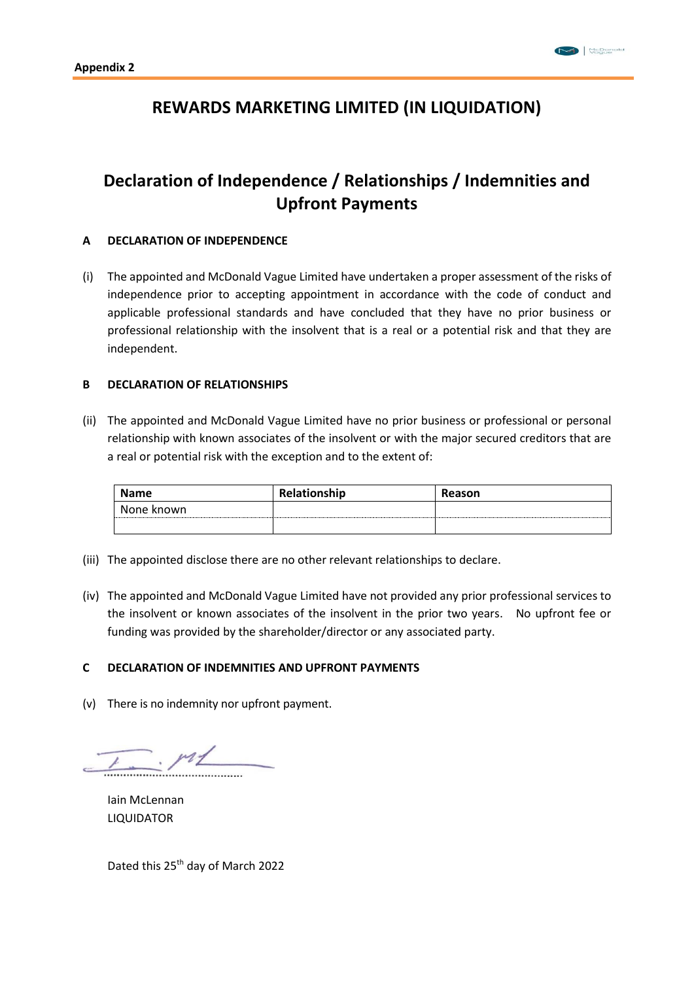# **REWARDS MARKETING LIMITED (IN LIQUIDATION)**

# **Declaration of Independence / Relationships / Indemnities and Upfront Payments**

#### **A DECLARATION OF INDEPENDENCE**

(i) The appointed and McDonald Vague Limited have undertaken a proper assessment of the risks of independence prior to accepting appointment in accordance with the code of conduct and applicable professional standards and have concluded that they have no prior business or professional relationship with the insolvent that is a real or a potential risk and that they are independent.

#### **B DECLARATION OF RELATIONSHIPS**

(ii) The appointed and McDonald Vague Limited have no prior business or professional or personal relationship with known associates of the insolvent or with the major secured creditors that are a real or potential risk with the exception and to the extent of:

| <b>Name</b> | Relationship | Reason |
|-------------|--------------|--------|
| None known  |              |        |
|             |              |        |

- (iii) The appointed disclose there are no other relevant relationships to declare.
- (iv) The appointed and McDonald Vague Limited have not provided any prior professional services to the insolvent or known associates of the insolvent in the prior two years. No upfront fee or funding was provided by the shareholder/director or any associated party.

#### **C DECLARATION OF INDEMNITIES AND UPFRONT PAYMENTS**

(v) There is no indemnity nor upfront payment.

 $. pt$ 

Iain McLennan LIQUIDATOR

Dated this 25th day of March 2022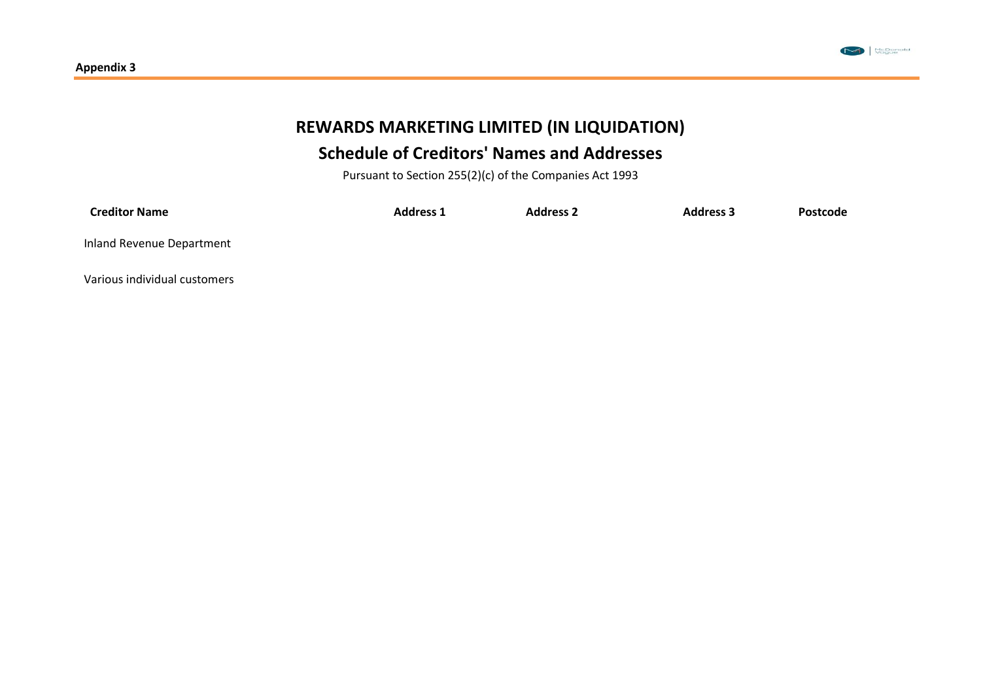

# **REWARDS MARKETING LIMITED (IN LIQUIDATION) Schedule of Creditors' Names and Addresses**

Pursuant to Section 255(2)(c) of the Companies Act 1993

| <b>Creditor Name</b>         | <b>Address 1</b> | <b>Address 2</b> | <b>Address 3</b> | Postcode |
|------------------------------|------------------|------------------|------------------|----------|
| Inland Revenue Department    |                  |                  |                  |          |
| Various individual customers |                  |                  |                  |          |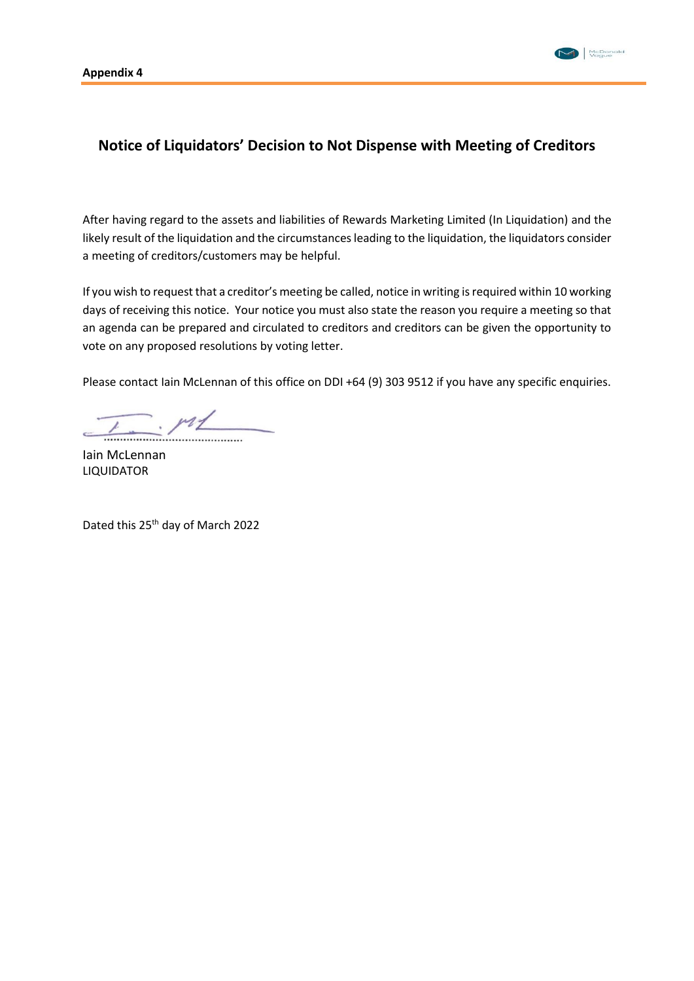

## **Notice of Liquidators' Decision to Not Dispense with Meeting of Creditors**

After having regard to the assets and liabilities of Rewards Marketing Limited (In Liquidation) and the likely result of the liquidation and the circumstances leading to the liquidation, the liquidators consider a meeting of creditors/customers may be helpful.

If you wish to request that a creditor's meeting be called, notice in writing is required within 10 working days of receiving this notice. Your notice you must also state the reason you require a meeting so that an agenda can be prepared and circulated to creditors and creditors can be given the opportunity to vote on any proposed resolutions by voting letter.

Please contact Iain McLennan of this office on DDI +64 (9) 303 9512 if you have any specific enquiries.

 $\frac{1}{2}$ 

Iain McLennan LIQUIDATOR

Dated this 25<sup>th</sup> day of March 2022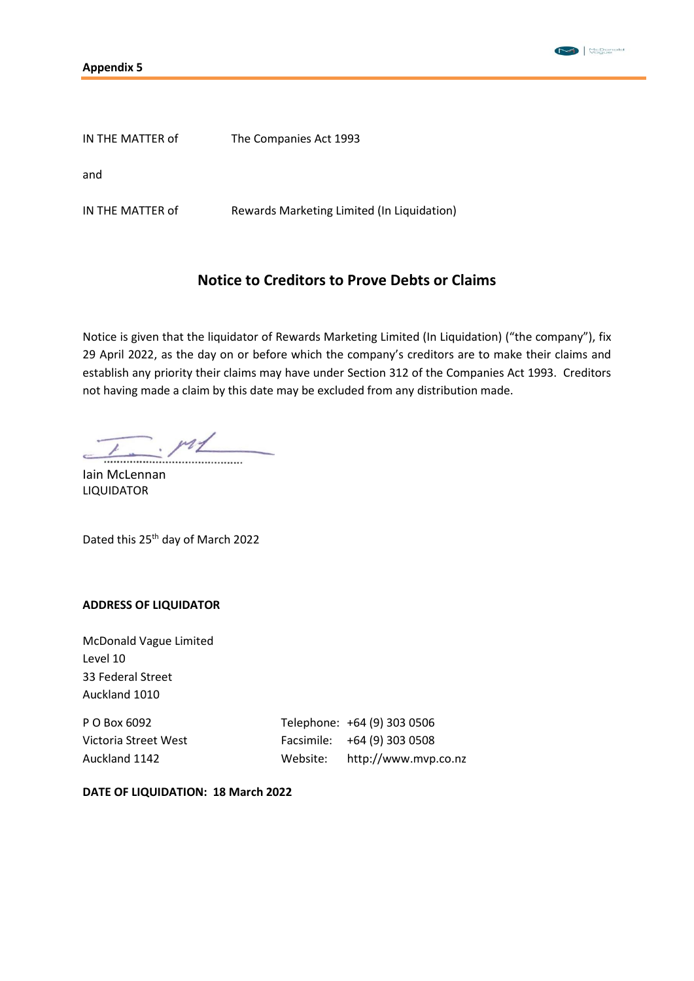



| IN THE MATTER of | The Companies Act 1993                     |
|------------------|--------------------------------------------|
| and              |                                            |
| IN THE MATTER of | Rewards Marketing Limited (In Liquidation) |

## **Notice to Creditors to Prove Debts or Claims**

Notice is given that the liquidator of Rewards Marketing Limited (In Liquidation) ("the company"), fix 29 April 2022, as the day on or before which the company's creditors are to make their claims and establish any priority their claims may have under Section 312 of the Companies Act 1993. Creditors not having made a claim by this date may be excluded from any distribution made.

 $-$  m

Iain McLennan LIQUIDATOR

Dated this 25th day of March 2022

## **ADDRESS OF LIQUIDATOR**

McDonald Vague Limited Level 10 33 Federal Street Auckland 1010

P O Box 6092 Telephone: +64 (9) 303 0506 Victoria Street West Facsimile: +64 (9) 303 0508 Auckland 1142 Website: http://www.mvp.co.nz

**DATE OF LIQUIDATION: 18 March 2022**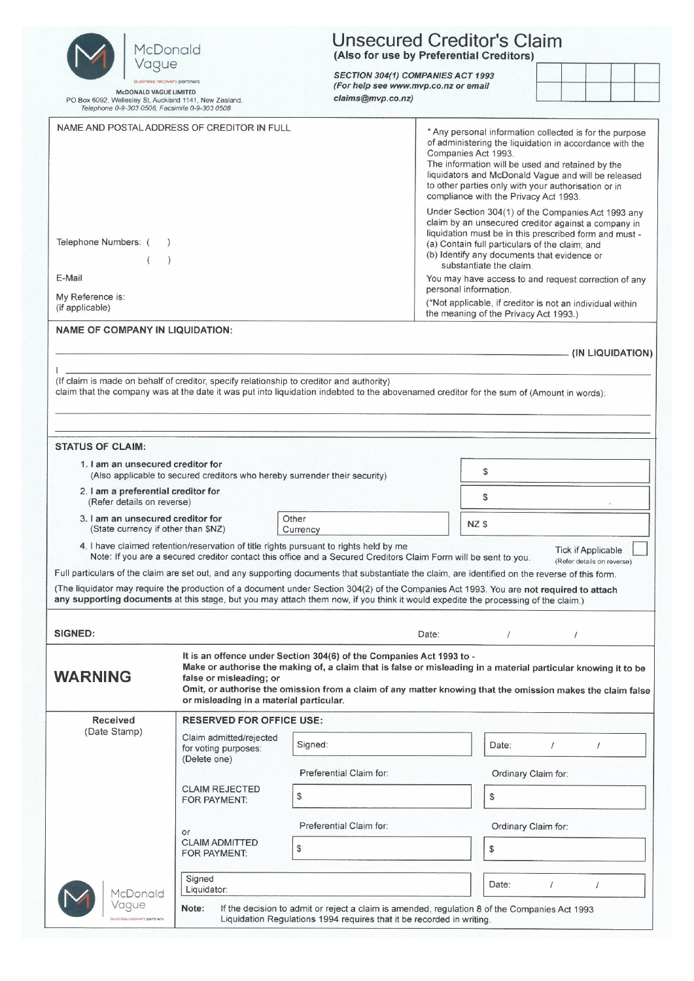| McDonald                                                                                                                                  | <b>Unsecured Creditor's Claim</b><br>(Also for use by Preferential Creditors) |                                                                                                                                                                                                                                                                                                      |                                                                                                                                                                                                                                                                                                                                                                                                                                               |                     |                                                         |                  |
|-------------------------------------------------------------------------------------------------------------------------------------------|-------------------------------------------------------------------------------|------------------------------------------------------------------------------------------------------------------------------------------------------------------------------------------------------------------------------------------------------------------------------------------------------|-----------------------------------------------------------------------------------------------------------------------------------------------------------------------------------------------------------------------------------------------------------------------------------------------------------------------------------------------------------------------------------------------------------------------------------------------|---------------------|---------------------------------------------------------|------------------|
| Vague<br>business recovery partners                                                                                                       |                                                                               | SECTION 304(1) COMPANIES ACT 1993<br>(For help see www.mvp.co.nz or email                                                                                                                                                                                                                            |                                                                                                                                                                                                                                                                                                                                                                                                                                               |                     |                                                         |                  |
| <b>McDONALD VAGUE LIMITED</b><br>PO Box 6092, Wellesley St, Auckland 1141, New Zealand.<br>Telephone 0-9-303 0506, Facsimile 0-9-303 0508 |                                                                               | claims@mvp.co.nz)                                                                                                                                                                                                                                                                                    |                                                                                                                                                                                                                                                                                                                                                                                                                                               |                     |                                                         |                  |
| NAME AND POSTAL ADDRESS OF CREDITOR IN FULL                                                                                               |                                                                               |                                                                                                                                                                                                                                                                                                      | * Any personal information collected is for the purpose<br>of administering the liquidation in accordance with the<br>Companies Act 1993.<br>The information will be used and retained by the<br>liquidators and McDonald Vague and will be released<br>to other parties only with your authorisation or in<br>compliance with the Privacy Act 1993.                                                                                          |                     |                                                         |                  |
| Telephone Numbers: (<br>E-Mail<br>My Reference is:<br>(if applicable)                                                                     |                                                                               |                                                                                                                                                                                                                                                                                                      | Under Section 304(1) of the Companies Act 1993 any<br>claim by an unsecured creditor against a company in<br>liquidation must be in this prescribed form and must -<br>(a) Contain full particulars of the claim; and<br>(b) Identify any documents that evidence or<br>substantiate the claim.<br>You may have access to and request correction of any<br>personal information.<br>(*Not applicable, if creditor is not an individual within |                     |                                                         |                  |
| <b>NAME OF COMPANY IN LIQUIDATION:</b>                                                                                                    |                                                                               |                                                                                                                                                                                                                                                                                                      | the meaning of the Privacy Act 1993.)                                                                                                                                                                                                                                                                                                                                                                                                         |                     |                                                         |                  |
|                                                                                                                                           |                                                                               |                                                                                                                                                                                                                                                                                                      |                                                                                                                                                                                                                                                                                                                                                                                                                                               |                     |                                                         | (IN LIQUIDATION) |
| (If claim is made on behalf of creditor, specify relationship to creditor and authority)                                                  |                                                                               | claim that the company was at the date it was put into liquidation indebted to the abovenamed creditor for the sum of (Amount in words):                                                                                                                                                             |                                                                                                                                                                                                                                                                                                                                                                                                                                               |                     |                                                         |                  |
|                                                                                                                                           |                                                                               |                                                                                                                                                                                                                                                                                                      |                                                                                                                                                                                                                                                                                                                                                                                                                                               |                     |                                                         |                  |
| <b>STATUS OF CLAIM:</b><br>1. I am an unsecured creditor for                                                                              |                                                                               |                                                                                                                                                                                                                                                                                                      |                                                                                                                                                                                                                                                                                                                                                                                                                                               |                     |                                                         |                  |
|                                                                                                                                           | (Also applicable to secured creditors who hereby surrender their security)    |                                                                                                                                                                                                                                                                                                      | \$                                                                                                                                                                                                                                                                                                                                                                                                                                            |                     |                                                         |                  |
| 2. I am a preferential creditor for<br>(Refer details on reverse)                                                                         |                                                                               |                                                                                                                                                                                                                                                                                                      | \$                                                                                                                                                                                                                                                                                                                                                                                                                                            |                     |                                                         |                  |
| 3. I am an unsecured creditor for<br>(State currency if other than \$NZ)                                                                  |                                                                               | Other<br>Currency                                                                                                                                                                                                                                                                                    | NZ \$                                                                                                                                                                                                                                                                                                                                                                                                                                         |                     |                                                         |                  |
|                                                                                                                                           |                                                                               | 4. I have claimed retention/reservation of title rights pursuant to rights held by me<br>Note: If you are a secured creditor contact this office and a Secured Creditors Claim Form will be sent to you.                                                                                             |                                                                                                                                                                                                                                                                                                                                                                                                                                               |                     | <b>Tick if Applicable</b><br>(Refer details on reverse) |                  |
|                                                                                                                                           |                                                                               | Full particulars of the claim are set out, and any supporting documents that substantiate the claim, are identified on the reverse of this form.                                                                                                                                                     |                                                                                                                                                                                                                                                                                                                                                                                                                                               |                     |                                                         |                  |
|                                                                                                                                           |                                                                               | (The liquidator may require the production of a document under Section 304(2) of the Companies Act 1993. You are not required to attach<br>any supporting documents at this stage, but you may attach them now, if you think it would expedite the processing of the claim.)                         |                                                                                                                                                                                                                                                                                                                                                                                                                                               |                     |                                                         |                  |
|                                                                                                                                           |                                                                               |                                                                                                                                                                                                                                                                                                      |                                                                                                                                                                                                                                                                                                                                                                                                                                               |                     |                                                         |                  |
| <b>SIGNED:</b>                                                                                                                            |                                                                               |                                                                                                                                                                                                                                                                                                      | Date:<br>$\prime$                                                                                                                                                                                                                                                                                                                                                                                                                             | $\prime$            |                                                         |                  |
| <b>WARNING</b>                                                                                                                            | false or misleading; or<br>or misleading in a material particular.            | It is an offence under Section 304(6) of the Companies Act 1993 to -<br>Make or authorise the making of, a claim that is false or misleading in a material particular knowing it to be<br>Omit, or authorise the omission from a claim of any matter knowing that the omission makes the claim false |                                                                                                                                                                                                                                                                                                                                                                                                                                               |                     |                                                         |                  |
| <b>Received</b><br>(Date Stamp)                                                                                                           | <b>RESERVED FOR OFFICE USE:</b>                                               |                                                                                                                                                                                                                                                                                                      |                                                                                                                                                                                                                                                                                                                                                                                                                                               |                     |                                                         |                  |
|                                                                                                                                           | Claim admitted/rejected<br>for voting purposes:<br>(Delete one)               | Signed:                                                                                                                                                                                                                                                                                              | Date:                                                                                                                                                                                                                                                                                                                                                                                                                                         |                     |                                                         |                  |
|                                                                                                                                           |                                                                               | Preferential Claim for:                                                                                                                                                                                                                                                                              | Ordinary Claim for:                                                                                                                                                                                                                                                                                                                                                                                                                           |                     |                                                         |                  |
|                                                                                                                                           | <b>CLAIM REJECTED</b><br>FOR PAYMENT:                                         | \$                                                                                                                                                                                                                                                                                                   | $\mathcal{S}$                                                                                                                                                                                                                                                                                                                                                                                                                                 |                     |                                                         |                  |
|                                                                                                                                           |                                                                               | Preferential Claim for:                                                                                                                                                                                                                                                                              |                                                                                                                                                                                                                                                                                                                                                                                                                                               | Ordinary Claim for: |                                                         |                  |
|                                                                                                                                           | or<br><b>CLAIM ADMITTED</b><br>FOR PAYMENT:                                   | \$                                                                                                                                                                                                                                                                                                   | \$                                                                                                                                                                                                                                                                                                                                                                                                                                            |                     |                                                         |                  |
| Signed<br>Liquidator:                                                                                                                     |                                                                               |                                                                                                                                                                                                                                                                                                      | Date:                                                                                                                                                                                                                                                                                                                                                                                                                                         | $\prime$            |                                                         |                  |
| McDonald<br>Vague<br>business recovery partners                                                                                           | Note:                                                                         | If the decision to admit or reject a claim is amended, regulation 8 of the Companies Act 1993<br>Liquidation Regulations 1994 requires that it be recorded in writing.                                                                                                                               |                                                                                                                                                                                                                                                                                                                                                                                                                                               |                     |                                                         |                  |